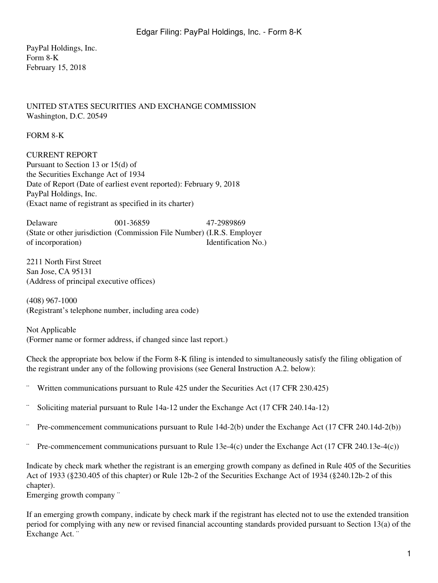PayPal Holdings, Inc. Form 8-K February 15, 2018

## UNITED STATES SECURITIES AND EXCHANGE COMMISSION Washington, D.C. 20549

FORM 8-K

CURRENT REPORT Pursuant to Section 13 or 15(d) of the Securities Exchange Act of 1934 Date of Report (Date of earliest event reported): February 9, 2018 PayPal Holdings, Inc. (Exact name of registrant as specified in its charter)

Delaware 001-36859 47-2989869 (State or other jurisdiction (Commission File Number) (I.R.S. Employer of incorporation) Identification No.

2211 North First Street San Jose, CA 95131 (Address of principal executive offices)

(408) 967-1000 (Registrant's telephone number, including area code)

Not Applicable (Former name or former address, if changed since last report.)

Check the appropriate box below if the Form 8-K filing is intended to simultaneously satisfy the filing obligation of the registrant under any of the following provisions (see General Instruction A.2. below):

- Written communications pursuant to Rule 425 under the Securities Act (17 CFR 230.425)
- Soliciting material pursuant to Rule 14a-12 under the Exchange Act (17 CFR 240.14a-12)
- ¨ Pre-commencement communications pursuant to Rule 14d-2(b) under the Exchange Act (17 CFR 240.14d-2(b))
- Pre-commencement communications pursuant to Rule 13e-4(c) under the Exchange Act (17 CFR 240.13e-4(c))

Indicate by check mark whether the registrant is an emerging growth company as defined in Rule 405 of the Securities Act of 1933 (§230.405 of this chapter) or Rule 12b-2 of the Securities Exchange Act of 1934 (§240.12b-2 of this chapter).

Emerging growth company "

If an emerging growth company, indicate by check mark if the registrant has elected not to use the extended transition period for complying with any new or revised financial accounting standards provided pursuant to Section 13(a) of the Exchange Act. ¨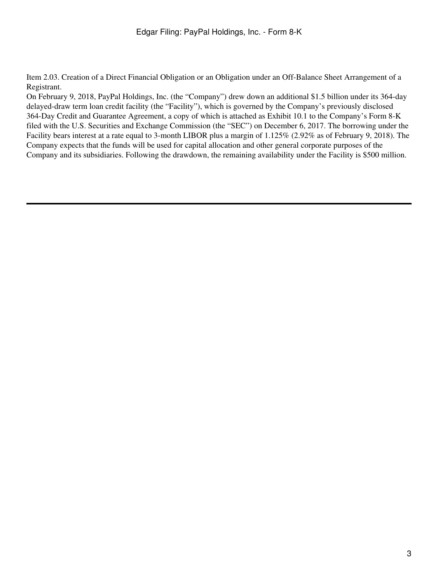Item 2.03. Creation of a Direct Financial Obligation or an Obligation under an Off-Balance Sheet Arrangement of a Registrant.

On February 9, 2018, PayPal Holdings, Inc. (the "Company") drew down an additional \$1.5 billion under its 364-day delayed-draw term loan credit facility (the "Facility"), which is governed by the Company's previously disclosed 364-Day Credit and Guarantee Agreement, a copy of which is attached as Exhibit 10.1 to the Company's Form 8-K filed with the U.S. Securities and Exchange Commission (the "SEC") on December 6, 2017. The borrowing under the Facility bears interest at a rate equal to 3-month LIBOR plus a margin of 1.125% (2.92% as of February 9, 2018). The Company expects that the funds will be used for capital allocation and other general corporate purposes of the Company and its subsidiaries. Following the drawdown, the remaining availability under the Facility is \$500 million.